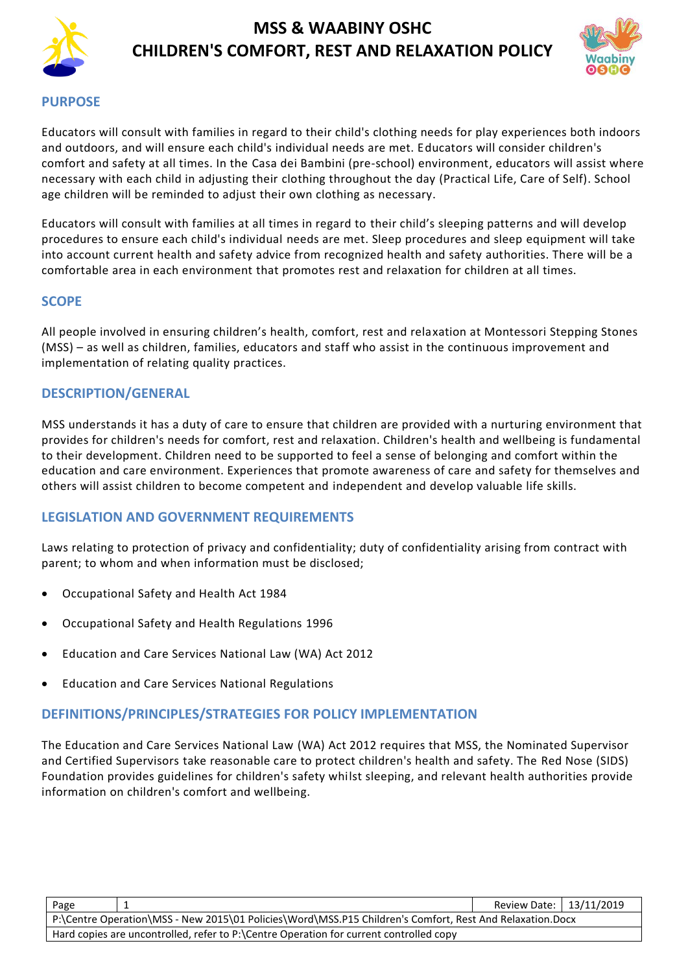



#### **PURPOSE**

Educators will consult with families in regard to their child's clothing needs for play experiences both indoors and outdoors, and will ensure each child's individual needs are met. Educators will consider children's comfort and safety at all times. In the Casa dei Bambini (pre-school) environment, educators will assist where necessary with each child in adjusting their clothing throughout the day (Practical Life, Care of Self). School age children will be reminded to adjust their own clothing as necessary.

Educators will consult with families at all times in regard to their child's sleeping patterns and will develop procedures to ensure each child's individual needs are met. Sleep procedures and sleep equipment will take into account current health and safety advice from recognized health and safety authorities. There will be a comfortable area in each environment that promotes rest and relaxation for children at all times.

### **SCOPE**

All people involved in ensuring children's health, comfort, rest and relaxation at Montessori Stepping Stones (MSS) – as well as children, families, educators and staff who assist in the continuous improvement and implementation of relating quality practices.

### **DESCRIPTION/GENERAL**

MSS understands it has a duty of care to ensure that children are provided with a nurturing environment that provides for children's needs for comfort, rest and relaxation. Children's health and wellbeing is fundamental to their development. Children need to be supported to feel a sense of belonging and comfort within the education and care environment. Experiences that promote awareness of care and safety for themselves and others will assist children to become competent and independent and develop valuable life skills.

### **LEGISLATION AND GOVERNMENT REQUIREMENTS**

Laws relating to protection of privacy and confidentiality; duty of confidentiality arising from contract with parent; to whom and when information must be disclosed;

- [Occupational Safety and Health](http://www.slp.wa.gov.au/legislation/agency.nsf/docep_main_mrtitle_4245_homepage.html) Act 1984
- [Occupational Safety and Health Regulations](http://www.slp.wa.gov.au/legislation/agency.nsf/docep_main_mrtitle_12516_homepage.html) 1996
- Education and Care Services National Law (WA) Act 2012
- Education and Care Services National Regulations

#### **DEFINITIONS/PRINCIPLES/STRATEGIES FOR POLICY IMPLEMENTATION**

The Education and Care Services National Law (WA) Act 2012 requires that MSS, the Nominated Supervisor and Certified Supervisors take reasonable care to protect children's health and safety. The Red Nose (SIDS) Foundation provides guidelines for children's safety whilst sleeping, and relevant health authorities provide information on children's comfort and wellbeing.

| Page                                                                                                     |  | Review Date:   13/11/2019 |  |  |
|----------------------------------------------------------------------------------------------------------|--|---------------------------|--|--|
| P:\Centre Operation\MSS - New 2015\01 Policies\Word\MSS.P15 Children's Comfort, Rest And Relaxation.Docx |  |                           |  |  |
| Hard copies are uncontrolled, refer to P:\Centre Operation for current controlled copy                   |  |                           |  |  |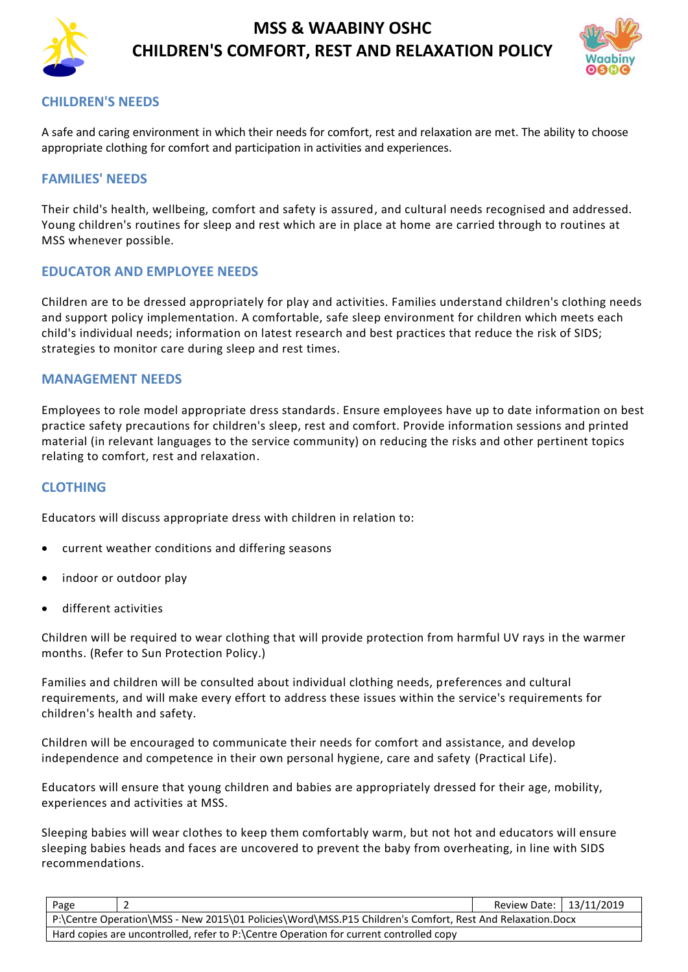



### **CHILDREN'S NEEDS**

A safe and caring environment in which their needs for comfort, rest and relaxation are met. The ability to choose appropriate clothing for comfort and participation in activities and experiences.

#### **FAMILIES' NEEDS**

Their child's health, wellbeing, comfort and safety is assured, and cultural needs recognised and addressed. Young children's routines for sleep and rest which are in place at home are carried through to routines at MSS whenever possible.

#### **EDUCATOR AND EMPLOYEE NEEDS**

Children are to be dressed appropriately for play and activities. Families understand children's clothing needs and support policy implementation. A comfortable, safe sleep environment for children which meets each child's individual needs; information on latest research and best practices that reduce the risk of SIDS; strategies to monitor care during sleep and rest times.

#### **MANAGEMENT NEEDS**

Employees to role model appropriate dress standards. Ensure employees have up to date information on best practice safety precautions for children's sleep, rest and comfort. Provide information sessions and printed material (in relevant languages to the service community) on reducing the risks and other pertinent topics relating to comfort, rest and relaxation.

#### **CLOTHING**

Educators will discuss appropriate dress with children in relation to:

- current weather conditions and differing seasons
- indoor or outdoor play
- different activities

Children will be required to wear clothing that will provide protection from harmful UV rays in the warmer months. (Refer to Sun Protection Policy.)

Families and children will be consulted about individual clothing needs, preferences and cultural requirements, and will make every effort to address these issues within the service's requirements for children's health and safety.

Children will be encouraged to communicate their needs for comfort and assistance, and develop independence and competence in their own personal hygiene, care and safety (Practical Life).

Educators will ensure that young children and babies are appropriately dressed for their age, mobility, experiences and activities at MSS.

Sleeping babies will wear clothes to keep them comfortably warm, but not hot and educators will ensure sleeping babies heads and faces are uncovered to prevent the baby from overheating, in line with SIDS recommendations.

| Page                                                                                                     |  | Review Date:   13/11/2019 |  |  |
|----------------------------------------------------------------------------------------------------------|--|---------------------------|--|--|
| P:\Centre Operation\MSS - New 2015\01 Policies\Word\MSS.P15 Children's Comfort, Rest And Relaxation.Docx |  |                           |  |  |
| Hard copies are uncontrolled, refer to P:\Centre Operation for current controlled copy                   |  |                           |  |  |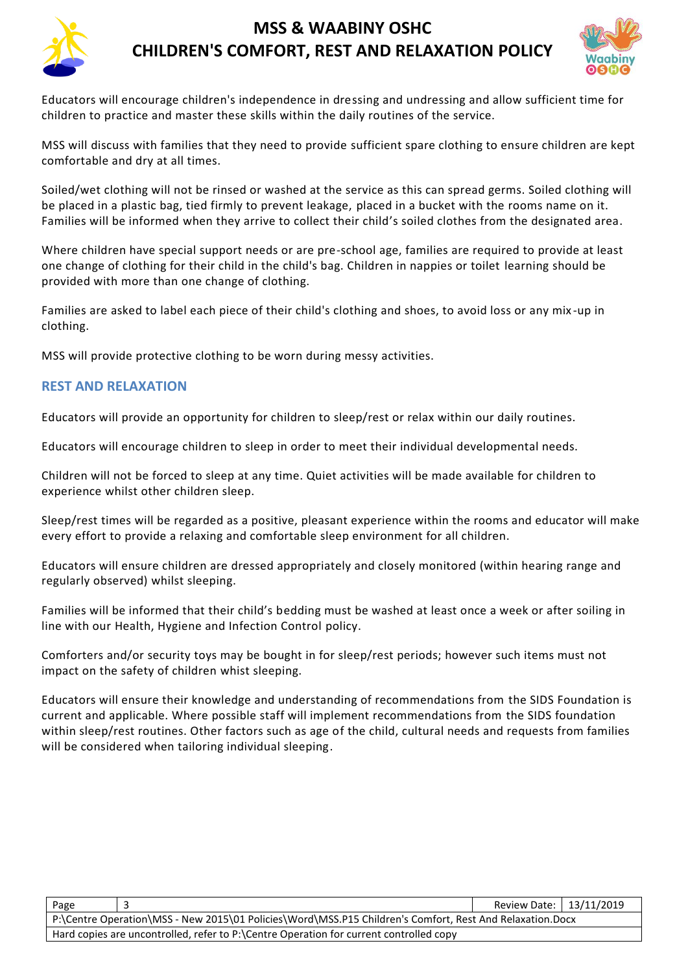

Educators will encourage children's independence in dressing and undressing and allow sufficient time for children to practice and master these skills within the daily routines of the service.

MSS will discuss with families that they need to provide sufficient spare clothing to ensure children are kept comfortable and dry at all times.

Soiled/wet clothing will not be rinsed or washed at the service as this can spread germs. Soiled clothing will be placed in a plastic bag, tied firmly to prevent leakage, placed in a bucket with the rooms name on it. Families will be informed when they arrive to collect their child's soiled clothes from the designated area.

Where children have special support needs or are pre-school age, families are required to provide at least one change of clothing for their child in the child's bag. Children in nappies or toilet learning should be provided with more than one change of clothing.

Families are asked to label each piece of their child's clothing and shoes, to avoid loss or any mix -up in clothing.

MSS will provide protective clothing to be worn during messy activities.

#### **REST AND RELAXATION**

Educators will provide an opportunity for children to sleep/rest or relax within our daily routines.

Educators will encourage children to sleep in order to meet their individual developmental needs.

Children will not be forced to sleep at any time. Quiet activities will be made available for children to experience whilst other children sleep.

Sleep/rest times will be regarded as a positive, pleasant experience within the rooms and educator will make every effort to provide a relaxing and comfortable sleep environment for all children.

Educators will ensure children are dressed appropriately and closely monitored (within hearing range and regularly observed) whilst sleeping.

Families will be informed that their child's bedding must be washed at least once a week or after soiling in line with our Health, Hygiene and Infection Control policy.

Comforters and/or security toys may be bought in for sleep/rest periods; however such items must not impact on the safety of children whist sleeping.

Educators will ensure their knowledge and understanding of recommendations from the SIDS Foundation is current and applicable. Where possible staff will implement recommendations from the SIDS foundation within sleep/rest routines. Other factors such as age of the child, cultural needs and requests from families will be considered when tailoring individual sleeping.

| Page                                                                                                     |  | Review Date:   13/11/2019 |  |  |  |
|----------------------------------------------------------------------------------------------------------|--|---------------------------|--|--|--|
| P:\Centre Operation\MSS - New 2015\01 Policies\Word\MSS.P15 Children's Comfort, Rest And Relaxation.Docx |  |                           |  |  |  |
| Hard copies are uncontrolled, refer to P:\Centre Operation for current controlled copy                   |  |                           |  |  |  |